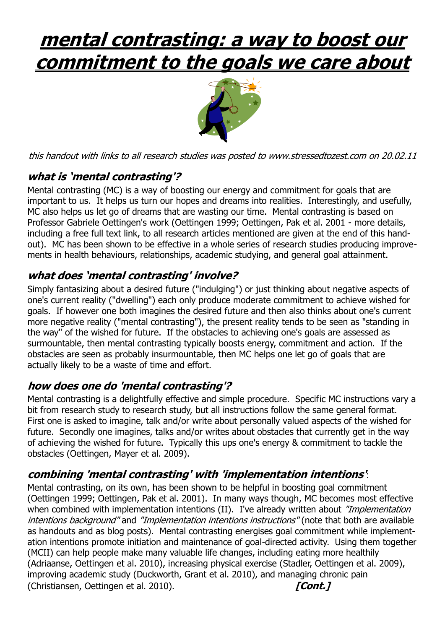# **mental contrasting: a way to boost our commitment to the goals we care about**



this handout with links to all research studies was posted to www.stressedtozest.com on 20.02.11

## **<sup>w</sup>hat is 'mental contrasting'?**

Mental contrasting (MC) is a way of boosting our energy and commitment for goals that are important to us. It helps us turn our hopes and dreams into realities. Interestingly, and usefully, MC also helps us let go of dreams that are wasting our time. Mental contrasting is based on Professor Gabriele Oettingen's work (Oettingen 1999; Oettingen, Pak et al. 2001 - more details, including a free full text link, to all research articles mentioned are given at the end of this handout). MC has been shown to be effective in a whole series of research studies producing improvements in health behaviours, relationships, academic studying, and general goal attainment.

### **<sup>w</sup>hat does 'mental contrasting' involve?**

Simply fantasizing about a desired future ("indulging") or just thinking about negative aspects of one's current reality ("dwelling") each only produce moderate commitment to achieve wished for goals. If however one both imagines the desired future and then also thinks about one's current more negative reality ("mental contrasting"), the present reality tends to be seen as "standing in the way" of the wished for future. If the obstacles to achieving one's goals are assessed as surmountable, then mental contrasting typically boosts energy, commitment and action. If the obstacles are seen as probably insurmountable, then MC helps one let go of goals that are actually likely to be a waste of time and effort.

### **how does one do 'mental contrasting'?**

Mental contrasting is a delightfully effective and simple procedure. Specific MC instructions vary a bit from research study to research study, but all instructions follow the same general format. First one is asked to imagine, talk and/or write about personally valued aspects of the wished for future. Secondly one imagines, talks and/or writes about obstacles that currently get in the way of achieving the wished for future. Typically this ups one's energy & commitment to tackle the obstacles (Oettingen, Mayer et al. 2009).

### **combining 'mental contrasting' with 'implementation intentions'**:

Mental contrasting, on its own, has been shown to be helpful in boosting goal commitment (Oettingen 1999; Oettingen, Pak et al. 2001). In many ways though, MC becomes most effective when combined with implementation intentions (II). I've already written about "Implementation intentions background" and "Implementation intentions instructions" (note that both are available as handouts and as blog posts). Mental contrasting energises goal commitment while implementation intentions promote initiation and maintenance of goal-directed activity. Using them together (MCII) can help people make many valuable life changes, including eating more healthily (Adriaanse, Oettingen et al. 2010), increasing physical exercise (Stadler, Oettingen et al. 2009), improving academic study (Duckworth, Grant et al. 2010), and managing chronic pain (Christiansen, Oettingen et al. 2010). **[Cont. [Cont. ]**